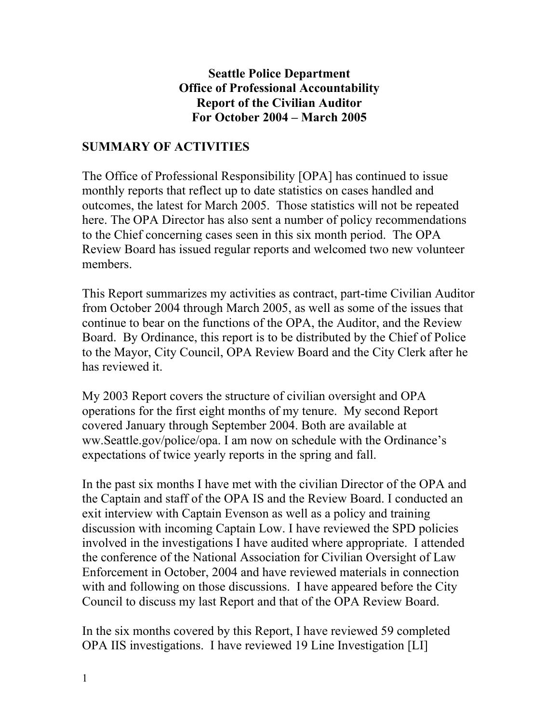### **Seattle Police Department Office of Professional Accountability Report of the Civilian Auditor For October 2004 – March 2005**

# **SUMMARY OF ACTIVITIES**

The Office of Professional Responsibility [OPA] has continued to issue monthly reports that reflect up to date statistics on cases handled and outcomes, the latest for March 2005. Those statistics will not be repeated here. The OPA Director has also sent a number of policy recommendations to the Chief concerning cases seen in this six month period. The OPA Review Board has issued regular reports and welcomed two new volunteer members.

This Report summarizes my activities as contract, part-time Civilian Auditor from October 2004 through March 2005, as well as some of the issues that continue to bear on the functions of the OPA, the Auditor, and the Review Board. By Ordinance, this report is to be distributed by the Chief of Police to the Mayor, City Council, OPA Review Board and the City Clerk after he has reviewed it.

My 2003 Report covers the structure of civilian oversight and OPA operations for the first eight months of my tenure. My second Report covered January through September 2004. Both are available at ww.Seattle.gov/police/opa. I am now on schedule with the Ordinance's expectations of twice yearly reports in the spring and fall.

In the past six months I have met with the civilian Director of the OPA and the Captain and staff of the OPA IS and the Review Board. I conducted an exit interview with Captain Evenson as well as a policy and training discussion with incoming Captain Low. I have reviewed the SPD policies involved in the investigations I have audited where appropriate. I attended the conference of the National Association for Civilian Oversight of Law Enforcement in October, 2004 and have reviewed materials in connection with and following on those discussions. I have appeared before the City Council to discuss my last Report and that of the OPA Review Board.

In the six months covered by this Report, I have reviewed 59 completed OPA IIS investigations. I have reviewed 19 Line Investigation [LI]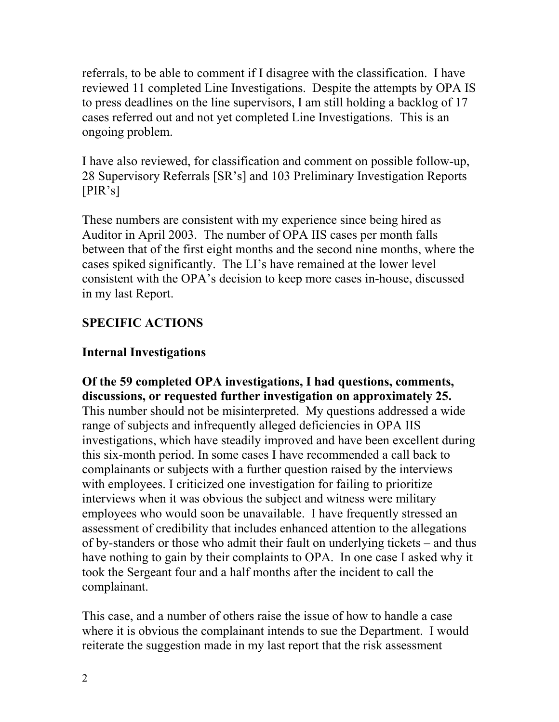referrals, to be able to comment if I disagree with the classification. I have reviewed 11 completed Line Investigations. Despite the attempts by OPA IS to press deadlines on the line supervisors, I am still holding a backlog of 17 cases referred out and not yet completed Line Investigations. This is an ongoing problem.

I have also reviewed, for classification and comment on possible follow-up, 28 Supervisory Referrals [SR's] and 103 Preliminary Investigation Reports [PIR's]

These numbers are consistent with my experience since being hired as Auditor in April 2003. The number of OPA IIS cases per month falls between that of the first eight months and the second nine months, where the cases spiked significantly. The LI's have remained at the lower level consistent with the OPA's decision to keep more cases in-house, discussed in my last Report.

# **SPECIFIC ACTIONS**

# **Internal Investigations**

**Of the 59 completed OPA investigations, I had questions, comments, discussions, or requested further investigation on approximately 25.** This number should not be misinterpreted. My questions addressed a wide range of subjects and infrequently alleged deficiencies in OPA IIS investigations, which have steadily improved and have been excellent during this six-month period. In some cases I have recommended a call back to complainants or subjects with a further question raised by the interviews with employees. I criticized one investigation for failing to prioritize interviews when it was obvious the subject and witness were military employees who would soon be unavailable. I have frequently stressed an assessment of credibility that includes enhanced attention to the allegations of by-standers or those who admit their fault on underlying tickets – and thus have nothing to gain by their complaints to OPA. In one case I asked why it took the Sergeant four and a half months after the incident to call the complainant.

This case, and a number of others raise the issue of how to handle a case where it is obvious the complainant intends to sue the Department. I would reiterate the suggestion made in my last report that the risk assessment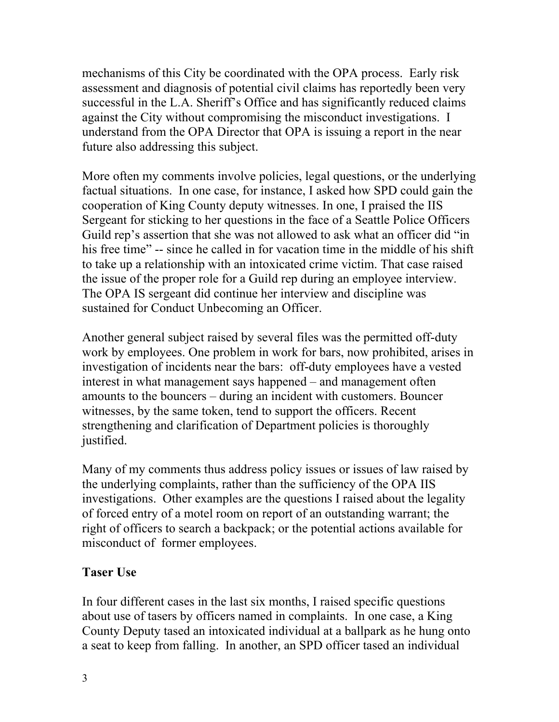mechanisms of this City be coordinated with the OPA process. Early risk assessment and diagnosis of potential civil claims has reportedly been very successful in the L.A. Sheriff's Office and has significantly reduced claims against the City without compromising the misconduct investigations. I understand from the OPA Director that OPA is issuing a report in the near future also addressing this subject.

More often my comments involve policies, legal questions, or the underlying factual situations. In one case, for instance, I asked how SPD could gain the cooperation of King County deputy witnesses. In one, I praised the IIS Sergeant for sticking to her questions in the face of a Seattle Police Officers Guild rep's assertion that she was not allowed to ask what an officer did "in his free time" -- since he called in for vacation time in the middle of his shift to take up a relationship with an intoxicated crime victim. That case raised the issue of the proper role for a Guild rep during an employee interview. The OPA IS sergeant did continue her interview and discipline was sustained for Conduct Unbecoming an Officer.

Another general subject raised by several files was the permitted off-duty work by employees. One problem in work for bars, now prohibited, arises in investigation of incidents near the bars: off-duty employees have a vested interest in what management says happened – and management often amounts to the bouncers – during an incident with customers. Bouncer witnesses, by the same token, tend to support the officers. Recent strengthening and clarification of Department policies is thoroughly justified.

Many of my comments thus address policy issues or issues of law raised by the underlying complaints, rather than the sufficiency of the OPA IIS investigations. Other examples are the questions I raised about the legality of forced entry of a motel room on report of an outstanding warrant; the right of officers to search a backpack; or the potential actions available for misconduct of former employees.

## **Taser Use**

In four different cases in the last six months, I raised specific questions about use of tasers by officers named in complaints. In one case, a King County Deputy tased an intoxicated individual at a ballpark as he hung onto a seat to keep from falling. In another, an SPD officer tased an individual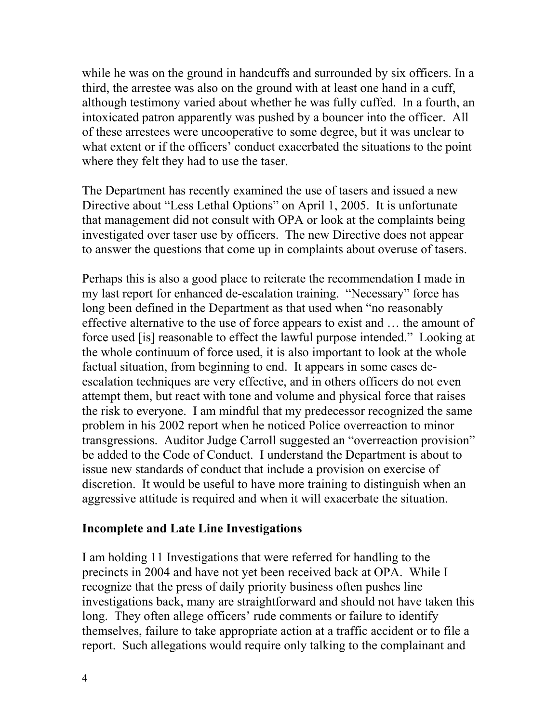while he was on the ground in handcuffs and surrounded by six officers. In a third, the arrestee was also on the ground with at least one hand in a cuff, although testimony varied about whether he was fully cuffed. In a fourth, an intoxicated patron apparently was pushed by a bouncer into the officer. All of these arrestees were uncooperative to some degree, but it was unclear to what extent or if the officers' conduct exacerbated the situations to the point where they felt they had to use the taser.

The Department has recently examined the use of tasers and issued a new Directive about "Less Lethal Options" on April 1, 2005. It is unfortunate that management did not consult with OPA or look at the complaints being investigated over taser use by officers. The new Directive does not appear to answer the questions that come up in complaints about overuse of tasers.

Perhaps this is also a good place to reiterate the recommendation I made in my last report for enhanced de-escalation training. "Necessary" force has long been defined in the Department as that used when "no reasonably effective alternative to the use of force appears to exist and … the amount of force used [is] reasonable to effect the lawful purpose intended." Looking at the whole continuum of force used, it is also important to look at the whole factual situation, from beginning to end. It appears in some cases deescalation techniques are very effective, and in others officers do not even attempt them, but react with tone and volume and physical force that raises the risk to everyone. I am mindful that my predecessor recognized the same problem in his 2002 report when he noticed Police overreaction to minor transgressions. Auditor Judge Carroll suggested an "overreaction provision" be added to the Code of Conduct. I understand the Department is about to issue new standards of conduct that include a provision on exercise of discretion. It would be useful to have more training to distinguish when an aggressive attitude is required and when it will exacerbate the situation.

#### **Incomplete and Late Line Investigations**

I am holding 11 Investigations that were referred for handling to the precincts in 2004 and have not yet been received back at OPA. While I recognize that the press of daily priority business often pushes line investigations back, many are straightforward and should not have taken this long. They often allege officers' rude comments or failure to identify themselves, failure to take appropriate action at a traffic accident or to file a report. Such allegations would require only talking to the complainant and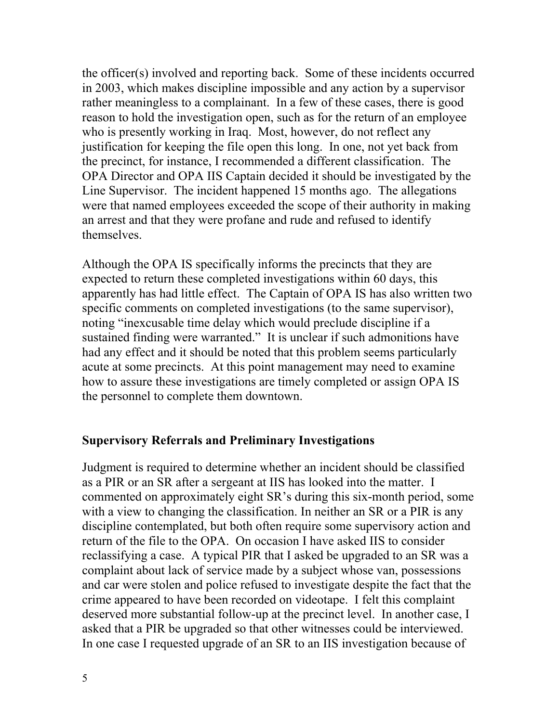the officer(s) involved and reporting back. Some of these incidents occurred in 2003, which makes discipline impossible and any action by a supervisor rather meaningless to a complainant. In a few of these cases, there is good reason to hold the investigation open, such as for the return of an employee who is presently working in Iraq. Most, however, do not reflect any justification for keeping the file open this long. In one, not yet back from the precinct, for instance, I recommended a different classification. The OPA Director and OPA IIS Captain decided it should be investigated by the Line Supervisor. The incident happened 15 months ago. The allegations were that named employees exceeded the scope of their authority in making an arrest and that they were profane and rude and refused to identify themselves.

Although the OPA IS specifically informs the precincts that they are expected to return these completed investigations within 60 days, this apparently has had little effect. The Captain of OPA IS has also written two specific comments on completed investigations (to the same supervisor), noting "inexcusable time delay which would preclude discipline if a sustained finding were warranted." It is unclear if such admonitions have had any effect and it should be noted that this problem seems particularly acute at some precincts. At this point management may need to examine how to assure these investigations are timely completed or assign OPA IS the personnel to complete them downtown.

### **Supervisory Referrals and Preliminary Investigations**

Judgment is required to determine whether an incident should be classified as a PIR or an SR after a sergeant at IIS has looked into the matter. I commented on approximately eight SR's during this six-month period, some with a view to changing the classification. In neither an SR or a PIR is any discipline contemplated, but both often require some supervisory action and return of the file to the OPA. On occasion I have asked IIS to consider reclassifying a case. A typical PIR that I asked be upgraded to an SR was a complaint about lack of service made by a subject whose van, possessions and car were stolen and police refused to investigate despite the fact that the crime appeared to have been recorded on videotape. I felt this complaint deserved more substantial follow-up at the precinct level. In another case, I asked that a PIR be upgraded so that other witnesses could be interviewed. In one case I requested upgrade of an SR to an IIS investigation because of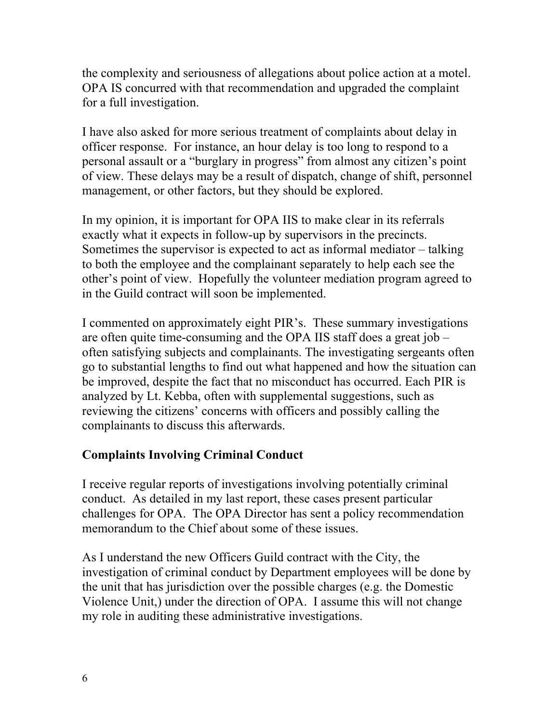the complexity and seriousness of allegations about police action at a motel. OPA IS concurred with that recommendation and upgraded the complaint for a full investigation.

I have also asked for more serious treatment of complaints about delay in officer response. For instance, an hour delay is too long to respond to a personal assault or a "burglary in progress" from almost any citizen's point of view. These delays may be a result of dispatch, change of shift, personnel management, or other factors, but they should be explored.

In my opinion, it is important for OPA IIS to make clear in its referrals exactly what it expects in follow-up by supervisors in the precincts. Sometimes the supervisor is expected to act as informal mediator – talking to both the employee and the complainant separately to help each see the other's point of view. Hopefully the volunteer mediation program agreed to in the Guild contract will soon be implemented.

I commented on approximately eight PIR's. These summary investigations are often quite time-consuming and the OPA IIS staff does a great job – often satisfying subjects and complainants. The investigating sergeants often go to substantial lengths to find out what happened and how the situation can be improved, despite the fact that no misconduct has occurred. Each PIR is analyzed by Lt. Kebba, often with supplemental suggestions, such as reviewing the citizens' concerns with officers and possibly calling the complainants to discuss this afterwards.

# **Complaints Involving Criminal Conduct**

I receive regular reports of investigations involving potentially criminal conduct. As detailed in my last report, these cases present particular challenges for OPA. The OPA Director has sent a policy recommendation memorandum to the Chief about some of these issues.

As I understand the new Officers Guild contract with the City, the investigation of criminal conduct by Department employees will be done by the unit that has jurisdiction over the possible charges (e.g. the Domestic Violence Unit,) under the direction of OPA. I assume this will not change my role in auditing these administrative investigations.